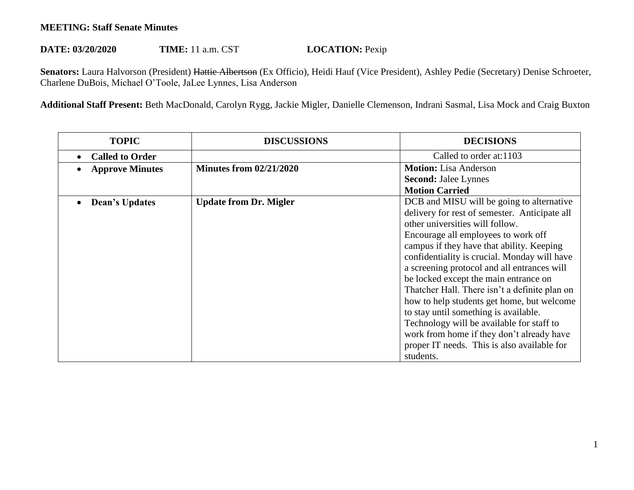## **MEETING: Staff Senate Minutes**

## **DATE: 03/20/2020 TIME:** 11 a.m. CST **LOCATION:** Pexip

Senators: Laura Halvorson (President) Hattie Albertson (Ex Officio), Heidi Hauf (Vice President), Ashley Pedie (Secretary) Denise Schroeter, Charlene DuBois, Michael O'Toole, JaLee Lynnes, Lisa Anderson

**Additional Staff Present:** Beth MacDonald, Carolyn Rygg, Jackie Migler, Danielle Clemenson, Indrani Sasmal, Lisa Mock and Craig Buxton

| <b>TOPIC</b>           | <b>DISCUSSIONS</b>             | <b>DECISIONS</b>                              |
|------------------------|--------------------------------|-----------------------------------------------|
| <b>Called to Order</b> |                                | Called to order at:1103                       |
| <b>Approve Minutes</b> | <b>Minutes from 02/21/2020</b> | <b>Motion:</b> Lisa Anderson                  |
|                        |                                | <b>Second: Jalee Lynnes</b>                   |
|                        |                                | <b>Motion Carried</b>                         |
| Dean's Updates         | <b>Update from Dr. Migler</b>  | DCB and MISU will be going to alternative     |
|                        |                                | delivery for rest of semester. Anticipate all |
|                        |                                | other universities will follow.               |
|                        |                                | Encourage all employees to work off           |
|                        |                                | campus if they have that ability. Keeping     |
|                        |                                | confidentiality is crucial. Monday will have  |
|                        |                                | a screening protocol and all entrances will   |
|                        |                                | be locked except the main entrance on         |
|                        |                                | Thatcher Hall. There isn't a definite plan on |
|                        |                                | how to help students get home, but welcome    |
|                        |                                | to stay until something is available.         |
|                        |                                | Technology will be available for staff to     |
|                        |                                | work from home if they don't already have     |
|                        |                                | proper IT needs. This is also available for   |
|                        |                                | students.                                     |